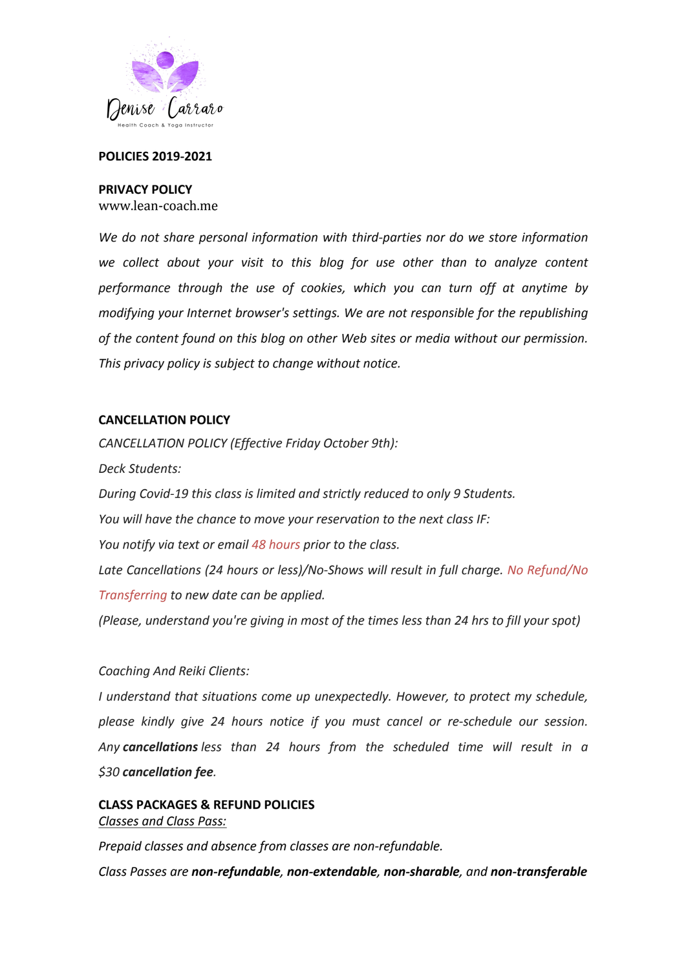

### **POLICIES 2019-2021**

### **PRIVACY POLICY**

www.lean-coach.me

We do not share personal information with third-parties nor do we store information we collect about your visit to this blog for use other than to analyze content performance through the use of cookies, which you can turn off at anytime by *modifying your Internet browser's settings. We are not responsible for the republishing* of the content found on this blog on other Web sites or media without our permission. This privacy policy is subject to change without notice.

### **CANCELLATION POLICY**

*CANCELLATION POLICY (Effective Friday October 9th): Deck Students: During Covid-19* this class is limited and strictly reduced to only 9 Students. *You will have the chance to move your reservation to the next class IF: You notify via text or email 48 hours prior to the class.* Late Cancellations (24 hours or less)/No-Shows will result in full charge. No Refund/No *Transferring to new date can be applied.* 

*(Please, understand you're giving in most of the times less than 24 hrs to fill your spot)* 

## *Coaching And Reiki Clients:*

*I* understand that situations come up unexpectedly. However, to protect my schedule, *please kindly give 24 hours notice if you must cancel or re-schedule our session.*  Any **cancellations** less than 24 hours from the scheduled time will result in a *\$30 cancellation fee.*

# **CLASS PACKAGES & REFUND POLICIES** *Classes and Class Pass:*

*Prepaid classes and absence from classes are non-refundable.* 

*Class Passes are non-refundable, non-extendable, non-sharable, and non-transferable*